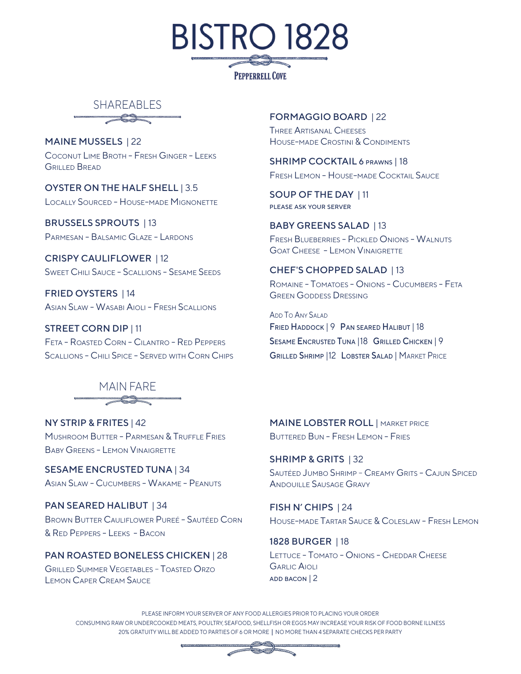



MAINE MUSSELS | 22 COCONUT LIME BROTH - FRESH GINGER - LEEKS GRILLED BREAD

OYSTER ON THE HALF SHELL | 3.5 LOCALLY SOURCED - HOUSE-MADE MIGNONETTE

BRUSSELS SPROUTS | 13 PARMESAN - BALSAMIC GLAZE - LARDONS

CRISPY CAULIFLOWER | 12 SWEET CHILI SAUCE - SCALLIONS - SESAME SEEDS

FRIED OYSTERS | 14 ASIAN SLAW - WASABI AIOLI - FRESH SCALLIONS

STREET CORN DIP | 11 FETA - ROASTED CORN - CILANTRO - RED PEPPERS SCALLIONS - CHILI SPICE - SERVED WITH CORN CHIPS

### MAIN FARE  $\overbrace{\phantom{aaaaa}}^{3}$

NY STRIP & FRITES | 42 MUSHROOM BUTTER - PARMESAN & TRUFFLE FRIES BABY GREENS - LEMON VINAIGRETTE

SESAME ENCRUSTED TUNA | 34 ASIAN SLAW - CUCUMBERS - WAKAME - PEANUTS

PAN SEARED HALIBUT | 34 BROWN BUTTER CAULIFLOWER PUREÉ - SAUTÉED CORN & RED PEPPERS - LEEKS - BACON

### PAN ROASTED BONELESS CHICKEN | 28

**GRILLED SUMMER VEGETABLES - TOASTED ORZO** LEMON CAPER CREAM SAUCE

### FORMAGGIO BOARD | 22

THREE ARTISANAL CHEESES HOUSE-MADE CROSTINI & CONDIMENTS

SHRIMP COCKTAIL 6 PRAWNS | 18 FRESH LEMON - HOUSE-MADE COCKTAIL SAUCE

SOUP OF THE DAY | 11 PLEASE ASK YOUR SERVER

BABY GREENS SALAD | 13 FRESH BLUEBERRIES - PICKLED ONIONS - WALNUTS GOAT CHEESE - LEMON VINAIGRETTE

#### CHEF'S CHOPPED SALAD | 13

ROMAINE - TOMATOES - ONIONS - CUCUMBERS - FETA GREEN GODDESS DRESSING

ADD TO ANY SALAD FRIED HADDOCK | 9 PAN SEARED HALIBUT | 18 SESAME ENCRUSTED TUNA |18 GRILLED CHICKEN | 9 GRILLED SHRIMP |12 LOBSTER SALAD | MARKET PRICE

**MAINE LOBSTER ROLL | MARKET PRICE** BUTTERED BUN - FRESH LEMON - FRIES

SHRIMP & GRITS | 32 SAUTÉED JUMBO SHRIMP - CREAMY GRITS - CAJUN SPICED ANDOUILLE SAUSAGE GRAVY

FISH N' CHIPS | 24 HOUSE-MADE TARTAR SAUCE & COLESLAW - FRESH LEMON

1828 BURGER | 18 LETTUCE - TOMATO - ONIONS - CHEDDAR CHEESE GARLIC AIOLI ADD BACON | 2

PLEASE INFORM YOUR SERVER OF ANY FOOD ALLERGIES PRIOR TO PLACING YOUR ORDER CONSUMING RAW OR UNDERCOOKED MEATS, POULTRY, SEAFOOD, SHELLFISH OR EGGS MAY INCREASE YOUR RISK OF FOOD BORNE ILLNESS 20% GRATUITY WILL BE ADDED TO PARTIES OF 6 OR MORE | NO MORE THAN 4 SEPARATE CHECKS PER PARTY